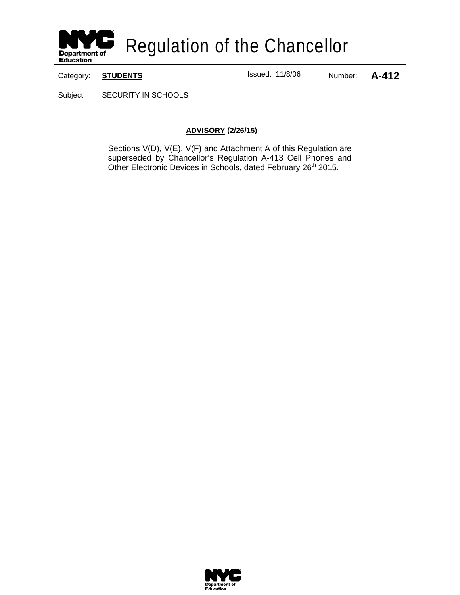

Category: **STUDENTS ISSUE READING CALL EXECUTE 11/8/06** Number: **A-412** 

Subject: SECURITY IN SCHOOLS

#### **ADVISORY (2/26/15)**

Sections V(D), V(E), V(F) and Attachment A of this Regulation are superseded by Chancellor's Regulation A-413 Cell Phones and Other Electronic Devices in Schools, dated February 26<sup>th</sup> 2015.

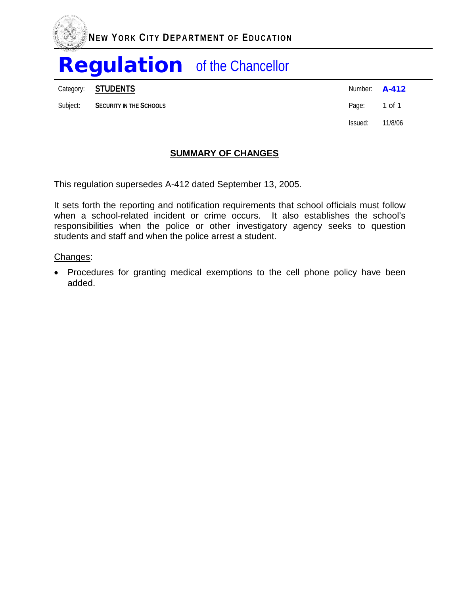

Category: **STUDENTS** Number: **A-412** 

Subject: **SECURITY IN THE SCHOOLS CONSUMITY IN THE SCHOOLS Page: 1 of 1** 

Issued: 11/8/06

## **SUMMARY OF CHANGES**

This regulation supersedes A-412 dated September 13, 2005.

It sets forth the reporting and notification requirements that school officials must follow when a school-related incident or crime occurs. It also establishes the school's responsibilities when the police or other investigatory agency seeks to question students and staff and when the police arrest a student.

#### Changes:

• Procedures for granting medical exemptions to the cell phone policy have been added.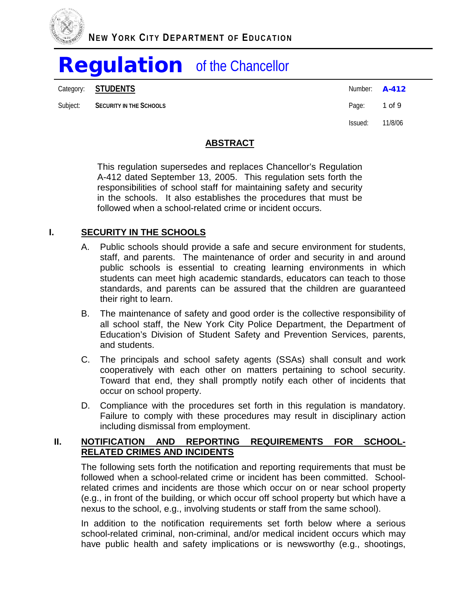

Category: **STUDENTS** Number: **A-412** 

Subject: **SECURITY IN THE SCHOOLS Page:** 1 of 9

Issued: 11/8/06

## **ABSTRACT**

This regulation supersedes and replaces Chancellor's Regulation A-412 dated September 13, 2005. This regulation sets forth the responsibilities of school staff for maintaining safety and security in the schools. It also establishes the procedures that must be followed when a school-related crime or incident occurs.

### **I. SECURITY IN THE SCHOOLS**

- A. Public schools should provide a safe and secure environment for students, staff, and parents. The maintenance of order and security in and around public schools is essential to creating learning environments in which students can meet high academic standards, educators can teach to those standards, and parents can be assured that the children are guaranteed their right to learn.
- B. The maintenance of safety and good order is the collective responsibility of all school staff, the New York City Police Department, the Department of Education's Division of Student Safety and Prevention Services, parents, and students.
- C. The principals and school safety agents (SSAs) shall consult and work cooperatively with each other on matters pertaining to school security. Toward that end, they shall promptly notify each other of incidents that occur on school property.
- D. Compliance with the procedures set forth in this regulation is mandatory. Failure to comply with these procedures may result in disciplinary action including dismissal from employment.

#### **II. NOTIFICATION AND REPORTING REQUIREMENTS FOR SCHOOL-RELATED CRIMES AND INCIDENTS**

The following sets forth the notification and reporting requirements that must be followed when a school-related crime or incident has been committed. Schoolrelated crimes and incidents are those which occur on or near school property (e.g., in front of the building, or which occur off school property but which have a nexus to the school, e.g., involving students or staff from the same school).

In addition to the notification requirements set forth below where a serious school-related criminal, non-criminal, and/or medical incident occurs which may have public health and safety implications or is newsworthy (e.g., shootings,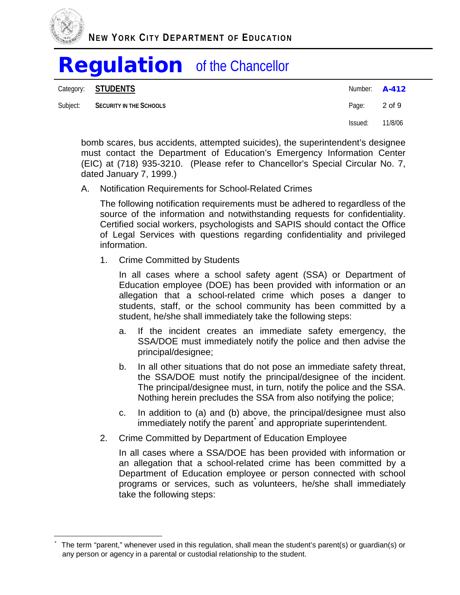

Category: **STUDENTS A-412** Subject: **SECURITY IN THE SCHOOLS CONSUMITY IN THE SCHOOLS Page: 2 of 9** Issued: 11/8/06

bomb scares, bus accidents, attempted suicides), the superintendent's designee must contact the Department of Education's Emergency Information Center (EIC) at (718) 935-3210. (Please refer to Chancellor's Special Circular No. 7, dated January 7, 1999.)

A. Notification Requirements for School-Related Crimes

The following notification requirements must be adhered to regardless of the source of the information and notwithstanding requests for confidentiality. Certified social workers, psychologists and SAPIS should contact the Office of Legal Services with questions regarding confidentiality and privileged information.

1. Crime Committed by Students

In all cases where a school safety agent (SSA) or Department of Education employee (DOE) has been provided with information or an allegation that a school-related crime which poses a danger to students, staff, or the school community has been committed by a student, he/she shall immediately take the following steps:

- a. If the incident creates an immediate safety emergency, the SSA/DOE must immediately notify the police and then advise the principal/designee;
- b. In all other situations that do not pose an immediate safety threat, the SSA/DOE must notify the principal/designee of the incident. The principal/designee must, in turn, notify the police and the SSA. Nothing herein precludes the SSA from also notifying the police;
- c. In addition to (a) and (b) above, the principal/designee must also immediately notify the parent and appropriate superintendent.
- 2. Crime Committed by Department of Education Employee

In all cases where a SSA/DOE has been provided with information or an allegation that a school-related crime has been committed by a Department of Education employee or person connected with school programs or services, such as volunteers, he/she shall immediately take the following steps:

<span id="page-3-0"></span>The term "parent," whenever used in this regulation, shall mean the student's parent(s) or guardian(s) or any person or agency in a parental or custodial relationship to the student. t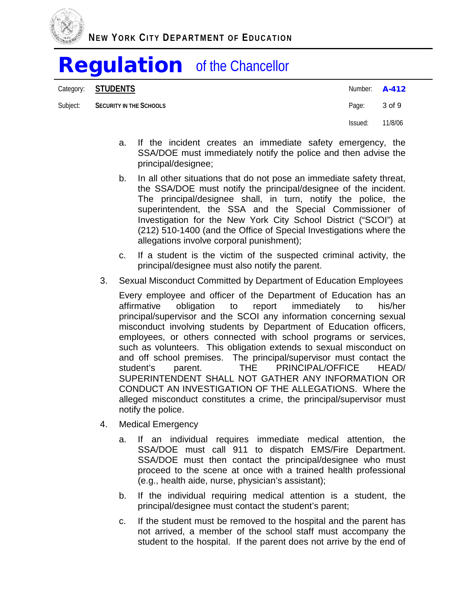

Category: **STUDENTS** Number: **A-412** 

Subject: **SECURITY IN THE SCHOOLS CONSUMITY IN THE SCHOOLS Page: 3 of 9** 

Issued: 11/8/06

- a. If the incident creates an immediate safety emergency, the SSA/DOE must immediately notify the police and then advise the principal/designee;
- b. In all other situations that do not pose an immediate safety threat, the SSA/DOE must notify the principal/designee of the incident. The principal/designee shall, in turn, notify the police, the superintendent, the SSA and the Special Commissioner of Investigation for the New York City School District ("SCOI") at (212) 510-1400 (and the Office of Special Investigations where the allegations involve corporal punishment);
- c. If a student is the victim of the suspected criminal activity, the principal/designee must also notify the parent.
- 3. Sexual Misconduct Committed by Department of Education Employees

Every employee and officer of the Department of Education has an affirmative obligation to report immediately to his/her principal/supervisor and the SCOI any information concerning sexual misconduct involving students by Department of Education officers, employees, or others connected with school programs or services, such as volunteers. This obligation extends to sexual misconduct on and off school premises. The principal/supervisor must contact the student's parent. THE PRINCIPAL/OFFICE HEAD/ SUPERINTENDENT SHALL NOT GATHER ANY INFORMATION OR CONDUCT AN INVESTIGATION OF THE ALLEGATIONS. Where the alleged misconduct constitutes a crime, the principal/supervisor must notify the police.

- 4. Medical Emergency
	- a. If an individual requires immediate medical attention, the SSA/DOE must call 911 to dispatch EMS/Fire Department. SSA/DOE must then contact the principal/designee who must proceed to the scene at once with a trained health professional (e.g., health aide, nurse, physician's assistant);
	- b. If the individual requiring medical attention is a student, the principal/designee must contact the student's parent;
	- c. If the student must be removed to the hospital and the parent has not arrived, a member of the school staff must accompany the student to the hospital. If the parent does not arrive by the end of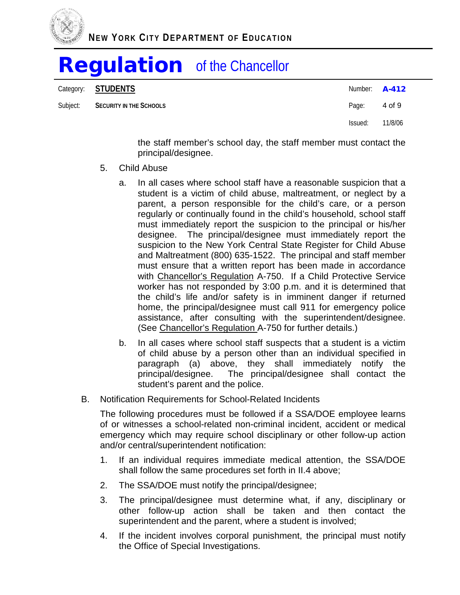

Category: **STUDENTS** Number: **A-412** 

Subject: **SECURITY IN THE SCHOOLS CONSUMITY IN THE SCHOOLS Page: 4 of 9** 

Issued: 11/8/06

the staff member's school day, the staff member must contact the principal/designee.

- 5. Child Abuse
	- a. In all cases where school staff have a reasonable suspicion that a student is a victim of child abuse, maltreatment, or neglect by a parent, a person responsible for the child's care, or a person regularly or continually found in the child's household, school staff must immediately report the suspicion to the principal or his/her designee. The principal/designee must immediately report the suspicion to the New York Central State Register for Child Abuse and Maltreatment (800) 635-1522. The principal and staff member must ensure that a written report has been made in accordance with Chancellor's Regulation A-750. If a Child Protective Service worker has not responded by 3:00 p.m. and it is determined that the child's life and/or safety is in imminent danger if returned home, the principal/designee must call 911 for emergency police assistance, after consulting with the superintendent/designee. (See Chancellor's Regulation A-750 for further details.)
	- b. In all cases where school staff suspects that a student is a victim of child abuse by a person other than an individual specified in paragraph (a) above, they shall immediately notify the principal/designee. The principal/designee shall contact the student's parent and the police.
- B. Notification Requirements for School-Related Incidents

The following procedures must be followed if a SSA/DOE employee learns of or witnesses a school-related non-criminal incident, accident or medical emergency which may require school disciplinary or other follow-up action and/or central/superintendent notification:

- 1. If an individual requires immediate medical attention, the SSA/DOE shall follow the same procedures set forth in II.4 above;
- 2. The SSA/DOE must notify the principal/designee;
- 3. The principal/designee must determine what, if any, disciplinary or other follow-up action shall be taken and then contact the superintendent and the parent, where a student is involved;
- 4. If the incident involves corporal punishment, the principal must notify the Office of Special Investigations.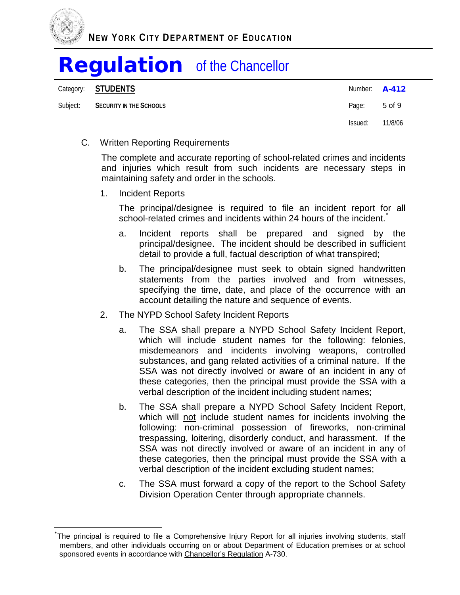

Category: **STUDENTS** Number: **A-412** Subject: **SECURITY IN THE SCHOOLS CONSUMITY IN THE SCHOOLS Page: 5 of 9** Issued: 11/8/06

#### C. Written Reporting Requirements

The complete and accurate reporting of school-related crimes and incidents and injuries which result from such incidents are necessary steps in maintaining safety and order in the schools.

1. Incident Reports

The principal/designee is required to file an incident report for all school-related crimes and incidents within 24 hours of the incident.<sup>[\\*](#page-6-0)</sup>

- a. Incident reports shall be prepared and signed by the principal/designee. The incident should be described in sufficient detail to provide a full, factual description of what transpired;
- b. The principal/designee must seek to obtain signed handwritten statements from the parties involved and from witnesses, specifying the time, date, and place of the occurrence with an account detailing the nature and sequence of events.
- 2. The NYPD School Safety Incident Reports
	- a. The SSA shall prepare a NYPD School Safety Incident Report, which will include student names for the following: felonies, misdemeanors and incidents involving weapons, controlled substances, and gang related activities of a criminal nature. If the SSA was not directly involved or aware of an incident in any of these categories, then the principal must provide the SSA with a verbal description of the incident including student names;
	- b. The SSA shall prepare a NYPD School Safety Incident Report, which will not include student names for incidents involving the following: non-criminal possession of fireworks, non-criminal trespassing, loitering, disorderly conduct, and harassment. If the SSA was not directly involved or aware of an incident in any of these categories, then the principal must provide the SSA with a verbal description of the incident excluding student names;
	- c. The SSA must forward a copy of the report to the School Safety Division Operation Center through appropriate channels.

<span id="page-6-0"></span><sup>\*</sup> The principal is required to file a Comprehensive Injury Report for all injuries involving students, staff members, and other individuals occurring on or about Department of Education premises or at school sponsored events in accordance with Chancellor's Regulation A-730.  $\frac{1}{2}$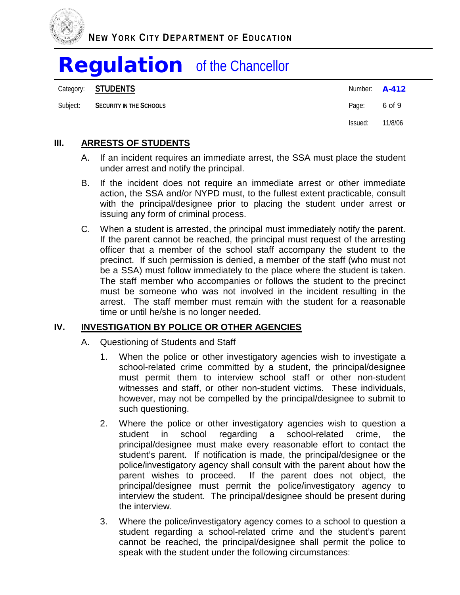

Category: **STUDENTS** Number: **A-412** 

Subject: **SECURITY IN THE SCHOOLS CONSUMITY IN THE SCHOOLS Page: 6 of 9** 

Issued: 11/8/06

## **III. ARRESTS OF STUDENTS**

- A. If an incident requires an immediate arrest, the SSA must place the student under arrest and notify the principal.
- B. If the incident does not require an immediate arrest or other immediate action, the SSA and/or NYPD must, to the fullest extent practicable, consult with the principal/designee prior to placing the student under arrest or issuing any form of criminal process.
- C. When a student is arrested, the principal must immediately notify the parent. If the parent cannot be reached, the principal must request of the arresting officer that a member of the school staff accompany the student to the precinct. If such permission is denied, a member of the staff (who must not be a SSA) must follow immediately to the place where the student is taken. The staff member who accompanies or follows the student to the precinct must be someone who was not involved in the incident resulting in the arrest. The staff member must remain with the student for a reasonable time or until he/she is no longer needed.

## **IV. INVESTIGATION BY POLICE OR OTHER AGENCIES**

- A. Questioning of Students and Staff
	- 1. When the police or other investigatory agencies wish to investigate a school-related crime committed by a student, the principal/designee must permit them to interview school staff or other non-student witnesses and staff, or other non-student victims. These individuals, however, may not be compelled by the principal/designee to submit to such questioning.
	- 2. Where the police or other investigatory agencies wish to question a student in school regarding a school-related crime, the student in school regarding a school-related crime, the principal/designee must make every reasonable effort to contact the student's parent. If notification is made, the principal/designee or the police/investigatory agency shall consult with the parent about how the parent wishes to proceed. If the parent does not object, the principal/designee must permit the police/investigatory agency to interview the student. The principal/designee should be present during the interview.
	- 3. Where the police/investigatory agency comes to a school to question a student regarding a school-related crime and the student's parent cannot be reached, the principal/designee shall permit the police to speak with the student under the following circumstances: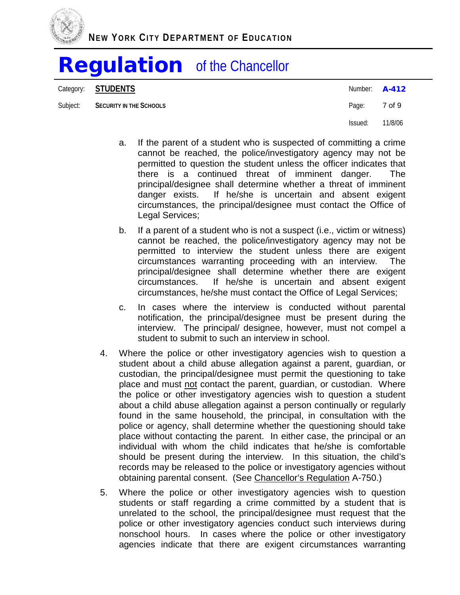

Category: **STUDENTS** Number: **A-412** 

Subject: **SECURITY IN THE SCHOOLS Page:** 7 of 9

Issued: 11/8/06

- a. If the parent of a student who is suspected of committing a crime cannot be reached, the police/investigatory agency may not be permitted to question the student unless the officer indicates that there is a continued threat of imminent danger. The principal/designee shall determine whether a threat of imminent danger exists. If he/she is uncertain and absent exigent circumstances, the principal/designee must contact the Office of Legal Services;
- b. If a parent of a student who is not a suspect (i.e., victim or witness) cannot be reached, the police/investigatory agency may not be permitted to interview the student unless there are exigent circumstances warranting proceeding with an interview. The principal/designee shall determine whether there are exigent circumstances. If he/she is uncertain and absent exigent circumstances, he/she must contact the Office of Legal Services;
- c. In cases where the interview is conducted without parental notification, the principal/designee must be present during the interview. The principal/ designee, however, must not compel a student to submit to such an interview in school.
- 4. Where the police or other investigatory agencies wish to question a student about a child abuse allegation against a parent, guardian, or custodian, the principal/designee must permit the questioning to take place and must not contact the parent, guardian, or custodian. Where the police or other investigatory agencies wish to question a student about a child abuse allegation against a person continually or regularly found in the same household, the principal, in consultation with the police or agency, shall determine whether the questioning should take place without contacting the parent. In either case, the principal or an individual with whom the child indicates that he/she is comfortable should be present during the interview. In this situation, the child's records may be released to the police or investigatory agencies without obtaining parental consent. (See Chancellor's Regulation A-750.)
- 5. Where the police or other investigatory agencies wish to question students or staff regarding a crime committed by a student that is unrelated to the school, the principal/designee must request that the police or other investigatory agencies conduct such interviews during nonschool hours. In cases where the police or other investigatory agencies indicate that there are exigent circumstances warranting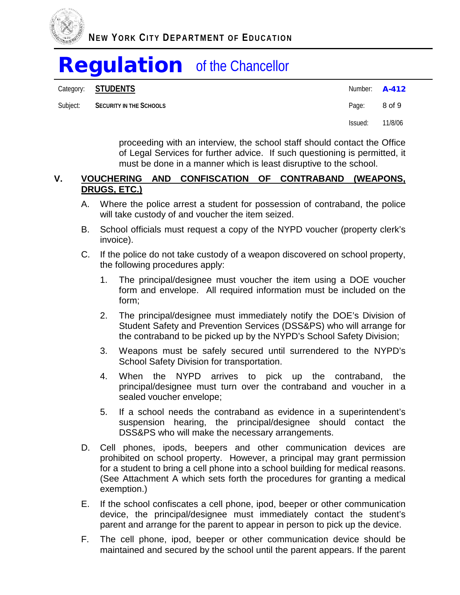

|          | Category: STUDENTS      | Number: $A-412$ |         |
|----------|-------------------------|-----------------|---------|
| Subject: | SECURITY IN THE SCHOOLS | Page:           | 8 of 9  |
|          |                         | Issued:         | 11/8/06 |

proceeding with an interview, the school staff should contact the Office of Legal Services for further advice. If such questioning is permitted, it must be done in a manner which is least disruptive to the school.

#### **V. VOUCHERING AND CONFISCATION OF CONTRABAND (WEAPONS, DRUGS, ETC.)**

- A. Where the police arrest a student for possession of contraband, the police will take custody of and voucher the item seized.
- B. School officials must request a copy of the NYPD voucher (property clerk's invoice).
- C. If the police do not take custody of a weapon discovered on school property, the following procedures apply:
	- 1. The principal/designee must voucher the item using a DOE voucher form and envelope. All required information must be included on the form;
	- 2. The principal/designee must immediately notify the DOE's Division of Student Safety and Prevention Services (DSS&PS) who will arrange for the contraband to be picked up by the NYPD's School Safety Division;
	- 3. Weapons must be safely secured until surrendered to the NYPD's School Safety Division for transportation.
	- 4. When the NYPD arrives to pick up the contraband, the principal/designee must turn over the contraband and voucher in a sealed voucher envelope;
	- 5. If a school needs the contraband as evidence in a superintendent's suspension hearing, the principal/designee should contact the DSS&PS who will make the necessary arrangements.
- D. Cell phones, ipods, beepers and other communication devices are prohibited on school property. However, a principal may grant permission for a student to bring a cell phone into a school building for medical reasons. (See Attachment A which sets forth the procedures for granting a medical exemption.)
- E. If the school confiscates a cell phone, ipod, beeper or other communication device, the principal/designee must immediately contact the student's parent and arrange for the parent to appear in person to pick up the device.
- F. The cell phone, ipod, beeper or other communication device should be maintained and secured by the school until the parent appears. If the parent